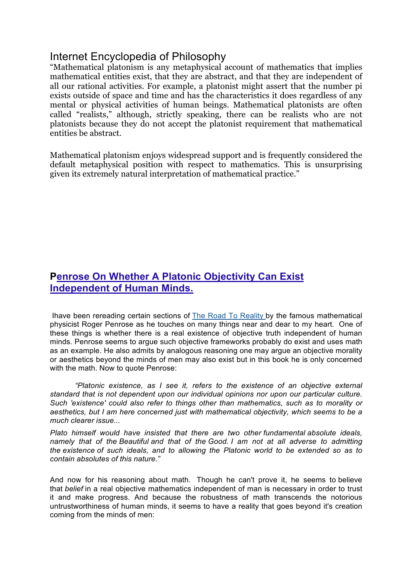## Internet Encyclopedia of Philosophy

"Mathematical platonism is any metaphysical account of mathematics that implies mathematical entities exist, that they are abstract, and that they are independent of all our rational activities. For example, a platonist might assert that the number pi exists outside of space and time and has the characteristics it does regardless of any mental or physical activities of human beings. Mathematical platonists are often called "realists," although, strictly speaking, there can be realists who are not platonists because they do not accept the platonist requirement that mathematical entities be abstract.

Mathematical platonism enjoys widespread support and is frequently considered the default metaphysical position with respect to mathematics. This is unsurprising given its extremely natural interpretation of mathematical practice."

## **Penrose On Whether A Platonic Objectivity Can Exist Independent of Human Minds.**

Ihave been rereading certain sections of The Road To Reality by the famous mathematical physicist Roger Penrose as he touches on many things near and dear to my heart. One of these things is whether there is a real existence of objective truth independent of human minds. Penrose seems to argue such objective frameworks probably do exist and uses math as an example. He also admits by analogous reasoning one may argue an objective morality or aesthetics beyond the minds of men may also exist but in this book he is only concerned with the math. Now to quote Penrose:

*"Platonic existence, as I see it, refers to the existence of an objective external standard that is not dependent upon our individual opinions nor upon our particular culture. Such 'existence' could also refer to things other than mathematics, such as to morality or aesthetics, but I am here concerned just with mathematical objectivity, which seems to be a much clearer issue...*

*Plato himself would have insisted that there are two other fundamental absolute ideals, namely that of the Beautiful and that of the Good. I am not at all adverse to admitting the existence of such ideals, and to allowing the Platonic world to be extended so as to contain absolutes of this nature."*

And now for his reasoning about math. Though he can't prove it, he seems to believe that *belief* in a real objective mathematics independent of man is necessary in order to trust it and make progress. And because the robustness of math transcends the notorious untrustworthiness of human minds, it seems to have a reality that goes beyond it's creation coming from the minds of men: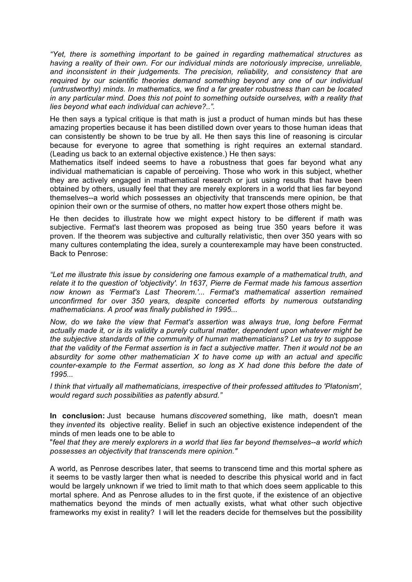*"Yet, there is something important to be gained in regarding mathematical structures as having a reality of their own. For our individual minds are notoriously imprecise, unreliable, and inconsistent in their judgements. The precision, reliability, and consistency that are required by our scientific theories demand something beyond any one of our individual (untrustworthy) minds. In mathematics, we find a far greater robustness than can be located in any particular mind. Does this not point to something outside ourselves, with a reality that lies beyond what each individual can achieve?..".*

He then says a typical critique is that math is just a product of human minds but has these amazing properties because it has been distilled down over years to those human ideas that can consistently be shown to be true by all. He then says this line of reasoning is circular because for everyone to agree that something is right requires an external standard. (Leading us back to an external objective existence.) He then says:

Mathematics itself indeed seems to have a robustness that goes far beyond what any individual mathematician is capable of perceiving. Those who work in this subject, whether they are actively engaged in mathematical research or just using results that have been obtained by others, usually feel that they are merely explorers in a world that lies far beyond themselves--a world which possesses an objectivity that transcends mere opinion, be that opinion their own or the surmise of others, no matter how expert those others might be.

He then decides to illustrate how we might expect history to be different if math was subjective. Fermat's last theorem was proposed as being true 350 years before it was proven. If the theorem was subjective and culturally relativistic, then over 350 years with so many cultures contemplating the idea, surely a counterexample may have been constructed. Back to Penrose:

*"Let me illustrate this issue by considering one famous example of a mathematical truth, and relate it to the question of 'objectivity'. In 1637, Pierre de Fermat made his famous assertion now known as 'Fermat's Last Theorem.'... Fermat's mathematical assertion remained unconfirmed for over 350 years, despite concerted efforts by numerous outstanding mathematicians. A proof was finally published in 1995...*

*Now, do we take the view that Fermat's assertion was always true, long before Fermat actually made it, or is its validity a purely cultural matter, dependent upon whatever might be the subjective standards of the community of human mathematicians? Let us try to suppose that the validity of the Fermat assertion is in fact a subjective matter. Then it would not be an absurdity for some other mathematician X to have come up with an actual and specific counter-example to the Fermat assertion, so long as X had done this before the date of 1995...*

*I think that virtually all mathematicians, irrespective of their professed attitudes to 'Platonism', would regard such possibilities as patently absurd."*

**In conclusion:** Just because humans *discovered* something, like math, doesn't mean they *invented* its objective reality. Belief in such an objective existence independent of the minds of men leads one to be able to

"*feel that they are merely explorers in a world that lies far beyond themselves--a world which possesses an objectivity that transcends mere opinion."*

A world, as Penrose describes later, that seems to transcend time and this mortal sphere as it seems to be vastly larger then what is needed to describe this physical world and in fact would be largely unknown if we tried to limit math to that which does seem applicable to this mortal sphere. And as Penrose alludes to in the first quote, if the existence of an objective mathematics beyond the minds of men actually exists, what what other such objective frameworks my exist in reality? I will let the readers decide for themselves but the possibility